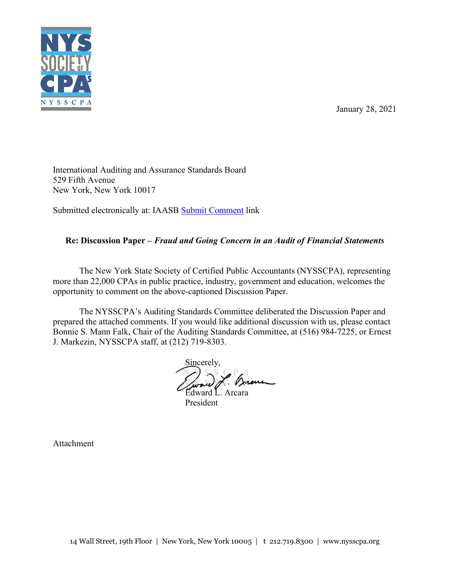

January 28, 2021

International Auditing and Assurance Standards Board 529 Fifth Avenue New York, New York 10017

Submitted electronically at: IAASB [Submit Comment](https://www.iaasb.org/publications/fraud-and-going-concern-audit-financial-statements#login-required) link

# **Re: Discussion Paper –** *Fraud and Going Concern in an Audit of Financial Statements*

The New York State Society of Certified Public Accountants (NYSSCPA), representing more than 22,000 CPAs in public practice, industry, government and education, welcomes the opportunity to comment on the above-captioned Discussion Paper.

The NYSSCPA's Auditing Standards Committee deliberated the Discussion Paper and prepared the attached comments. If you would like additional discussion with us, please contact Bonnie S. Mann Falk, Chair of the Auditing Standards Committee, at (516) 984-7225, or Ernest J. Markezin, NYSSCPA staff, at (212) 719-8303.

Sincerely, *N S S G P A* Nove of Vie

Edward L. Arcara President

Attachment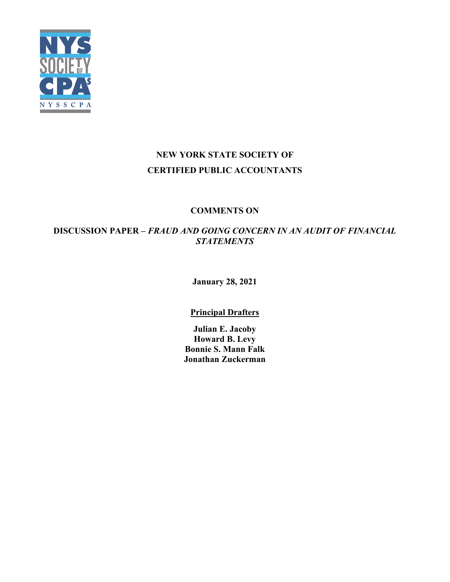

# **NEW YORK STATE SOCIETY OF CERTIFIED PUBLIC ACCOUNTANTS**

# **COMMENTS ON**

# **DISCUSSION PAPER –** *FRAUD AND GOING CONCERN IN AN AUDIT OF FINANCIAL STATEMENTS*

**January 28, 2021**

# **Principal Drafters**

**Julian E. Jacoby Howard B. Levy Bonnie S. Mann Falk Jonathan Zuckerman**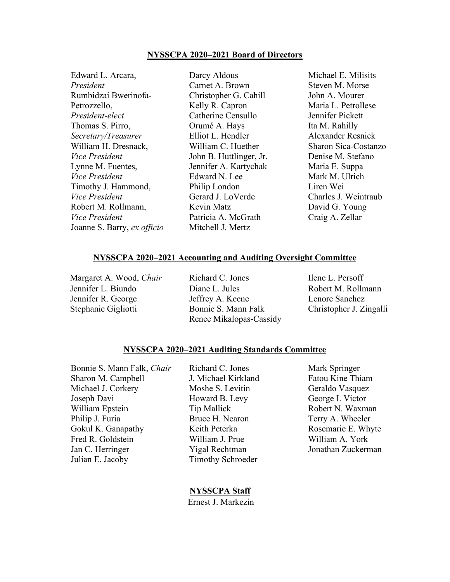#### **NYSSCPA 2020–2021 Board of Directors**

| Edward L. Arcara,           | Darcy Aldous            | Michael E. Milisits      |
|-----------------------------|-------------------------|--------------------------|
| President                   | Carnet A. Brown         | Steven M. Morse          |
| Rumbidzai Bwerinofa-        | Christopher G. Cahill   | John A. Mourer           |
| Petrozzello,                | Kelly R. Capron         | Maria L. Petrollese      |
| President-elect             | Catherine Censullo      | Jennifer Pickett         |
| Thomas S. Pirro,            | Orumé A. Hays           | Ita M. Rahilly           |
| Secretary/Treasurer         | Elliot L. Hendler       | <b>Alexander Resnick</b> |
| William H. Dresnack,        | William C. Huether      | Sharon Sica-Costanzo     |
| Vice President              | John B. Huttlinger, Jr. | Denise M. Stefano        |
| Lynne M. Fuentes,           | Jennifer A. Kartychak   | Maria E. Suppa           |
| Vice President              | Edward N. Lee           | Mark M. Ulrich           |
| Timothy J. Hammond,         | Philip London           | Liren Wei                |
| Vice President              | Gerard J. LoVerde       | Charles J. Weintraub     |
| Robert M. Rollmann,         | Kevin Matz              | David G. Young           |
| Vice President              | Patricia A. McGrath     | Craig A. Zellar          |
| Joanne S. Barry, ex officio | Mitchell J. Mertz       |                          |

#### **NYSSCPA 2020–2021 Accounting and Auditing Oversight Committee**

Margaret A. Wood, *Chair* Richard C. Jones Ilene L. Persoff

Jennifer L. Biundo Diane L. Jules Robert M. Rollmann Jennifer R. George Jeffrey A. Keene Lenore Sanchez Stephanie Gigliotti Bonnie S. Mann Falk Christopher J. Zingalli Renee Mikalopas-Cassidy

#### **NYSSCPA 2020–2021 Auditing Standards Committee**

Bonnie S. Mann Falk, *Chair* Richard C. Jones Mark Springer Sharon M. Campbell **J. Michael Kirkland** Fatou Kine Thiam Michael J. Corkery Moshe S. Levitin Geraldo Vasquez Joseph Davi **Howard B. Levy** George I. Victor William Epstein Tip Mallick Robert N. Waxman Philip J. Furia **Bruce H. Nearon** Terry A. Wheeler Gokul K. Ganapathy **Keith Peterka** Rosemarie E. Whyte Fred R. Goldstein William J. Prue William A. York Jan C. Herringer Yigal Rechtman Jonathan Zuckerman Julian E. Jacoby Timothy Schroeder

#### **NYSSCPA Staff**

Ernest J. Markezin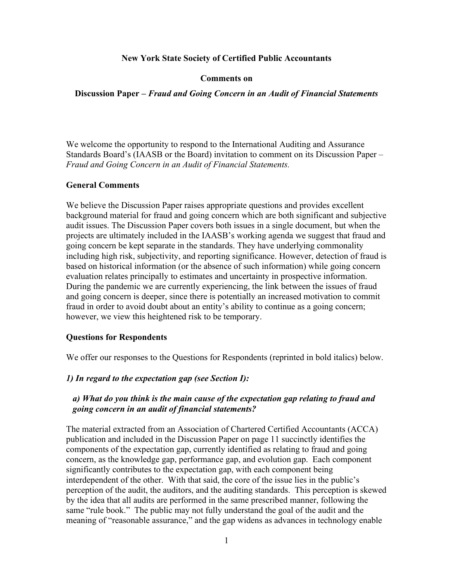#### **New York State Society of Certified Public Accountants**

#### **Comments on**

#### **Discussion Paper –** *Fraud and Going Concern in an Audit of Financial Statements*

We welcome the opportunity to respond to the International Auditing and Assurance Standards Board's (IAASB or the Board) invitation to comment on its Discussion Paper – *Fraud and Going Concern in an Audit of Financial Statements.*

#### **General Comments**

We believe the Discussion Paper raises appropriate questions and provides excellent background material for fraud and going concern which are both significant and subjective audit issues. The Discussion Paper covers both issues in a single document, but when the projects are ultimately included in the IAASB's working agenda we suggest that fraud and going concern be kept separate in the standards. They have underlying commonality including high risk, subjectivity, and reporting significance. However, detection of fraud is based on historical information (or the absence of such information) while going concern evaluation relates principally to estimates and uncertainty in prospective information. During the pandemic we are currently experiencing, the link between the issues of fraud and going concern is deeper, since there is potentially an increased motivation to commit fraud in order to avoid doubt about an entity's ability to continue as a going concern; however, we view this heightened risk to be temporary.

#### **Questions for Respondents**

We offer our responses to the Questions for Respondents (reprinted in bold italics) below.

#### *1) In regard to the expectation gap (see Section I):*

### *a) What do you think is the main cause of the expectation gap relating to fraud and going concern in an audit of financial statements?*

The material extracted from an Association of Chartered Certified Accountants (ACCA) publication and included in the Discussion Paper on page 11 succinctly identifies the components of the expectation gap, currently identified as relating to fraud and going concern, as the knowledge gap, performance gap, and evolution gap. Each component significantly contributes to the expectation gap, with each component being interdependent of the other. With that said, the core of the issue lies in the public's perception of the audit, the auditors, and the auditing standards. This perception is skewed by the idea that all audits are performed in the same prescribed manner, following the same "rule book." The public may not fully understand the goal of the audit and the meaning of "reasonable assurance," and the gap widens as advances in technology enable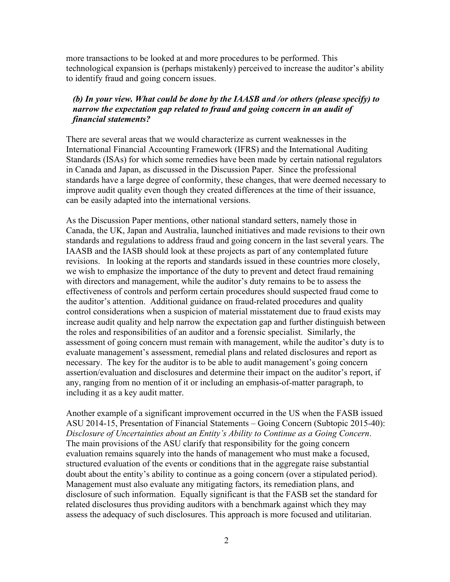more transactions to be looked at and more procedures to be performed. This technological expansion is (perhaps mistakenly) perceived to increase the auditor's ability to identify fraud and going concern issues.

### *(b) In your view. What could be done by the IAASB and /or others (please specify) to narrow the expectation gap related to fraud and going concern in an audit of financial statements?*

There are several areas that we would characterize as current weaknesses in the International Financial Accounting Framework (IFRS) and the International Auditing Standards (ISAs) for which some remedies have been made by certain national regulators in Canada and Japan, as discussed in the Discussion Paper. Since the professional standards have a large degree of conformity, these changes, that were deemed necessary to improve audit quality even though they created differences at the time of their issuance, can be easily adapted into the international versions.

As the Discussion Paper mentions, other national standard setters, namely those in Canada, the UK, Japan and Australia, launched initiatives and made revisions to their own standards and regulations to address fraud and going concern in the last several years. The IAASB and the IASB should look at these projects as part of any contemplated future revisions. In looking at the reports and standards issued in these countries more closely, we wish to emphasize the importance of the duty to prevent and detect fraud remaining with directors and management, while the auditor's duty remains to be to assess the effectiveness of controls and perform certain procedures should suspected fraud come to the auditor's attention. Additional guidance on fraud-related procedures and quality control considerations when a suspicion of material misstatement due to fraud exists may increase audit quality and help narrow the expectation gap and further distinguish between the roles and responsibilities of an auditor and a forensic specialist. Similarly, the assessment of going concern must remain with management, while the auditor's duty is to evaluate management's assessment, remedial plans and related disclosures and report as necessary. The key for the auditor is to be able to audit management's going concern assertion/evaluation and disclosures and determine their impact on the auditor's report, if any, ranging from no mention of it or including an emphasis-of-matter paragraph, to including it as a key audit matter.

Another example of a significant improvement occurred in the US when the FASB issued ASU 2014-15, Presentation of Financial Statements – Going Concern (Subtopic 2015-40): *Disclosure of Uncertainties about an Entity's Ability to Continue as a Going Concern*. The main provisions of the ASU clarify that responsibility for the going concern evaluation remains squarely into the hands of management who must make a focused, structured evaluation of the events or conditions that in the aggregate raise substantial doubt about the entity's ability to continue as a going concern (over a stipulated period). Management must also evaluate any mitigating factors, its remediation plans, and disclosure of such information. Equally significant is that the FASB set the standard for related disclosures thus providing auditors with a benchmark against which they may assess the adequacy of such disclosures. This approach is more focused and utilitarian.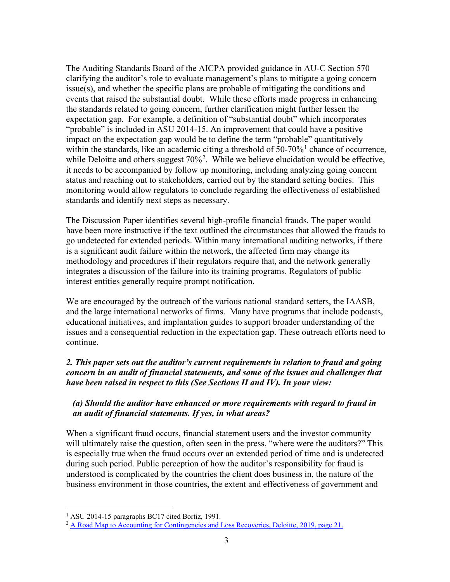The Auditing Standards Board of the AICPA provided guidance in AU-C Section 570 clarifying the auditor's role to evaluate management's plans to mitigate a going concern issue(s), and whether the specific plans are probable of mitigating the conditions and events that raised the substantial doubt. While these efforts made progress in enhancing the standards related to going concern, further clarification might further lessen the expectation gap. For example, a definition of "substantial doubt" which incorporates "probable" is included in ASU 2014-15. An improvement that could have a positive impact on the expectation gap would be to define the term "probable" quantitatively within the standards, like an academic citing a threshold of  $50-70\%$ <sup>[1](#page-5-0)</sup> chance of occurrence, while Deloitte and others suggest  $70\%$ <sup>[2](#page-5-1)</sup>. While we believe elucidation would be effective, it needs to be accompanied by follow up monitoring, including analyzing going concern status and reaching out to stakeholders, carried out by the standard setting bodies. This monitoring would allow regulators to conclude regarding the effectiveness of established standards and identify next steps as necessary.

The Discussion Paper identifies several high-profile financial frauds. The paper would have been more instructive if the text outlined the circumstances that allowed the frauds to go undetected for extended periods. Within many international auditing networks, if there is a significant audit failure within the network, the affected firm may change its methodology and procedures if their regulators require that, and the network generally integrates a discussion of the failure into its training programs. Regulators of public interest entities generally require prompt notification.

We are encouraged by the outreach of the various national standard setters, the IAASB, and the large international networks of firms. Many have programs that include podcasts, educational initiatives, and implantation guides to support broader understanding of the issues and a consequential reduction in the expectation gap. These outreach efforts need to continue.

# *2. This paper sets out the auditor's current requirements in relation to fraud and going concern in an audit of financial statements, and some of the issues and challenges that have been raised in respect to this (See Sections II and IV). In your view:*

# *(a) Should the auditor have enhanced or more requirements with regard to fraud in an audit of financial statements. If yes, in what areas?*

When a significant fraud occurs, financial statement users and the investor community will ultimately raise the question, often seen in the press, "where were the auditors?" This is especially true when the fraud occurs over an extended period of time and is undetected during such period. Public perception of how the auditor's responsibility for fraud is understood is complicated by the countries the client does business in, the nature of the business environment in those countries, the extent and effectiveness of government and

<span id="page-5-0"></span><sup>&</sup>lt;sup>1</sup> ASU 2014-15 paragraphs BC17 cited Bortiz, 1991.

<span id="page-5-1"></span><sup>2</sup> [A Road Map to Accounting for Contingencies and Loss Recoveries, Deloitte, 2019, page 21.](https://www2.deloitte.com/content/dam/Deloitte/us/Documents/audit/ASC/Roadmaps/us-aers-roadmap-to-accounting-for-contingencies-and-loss-recoveries.pdf)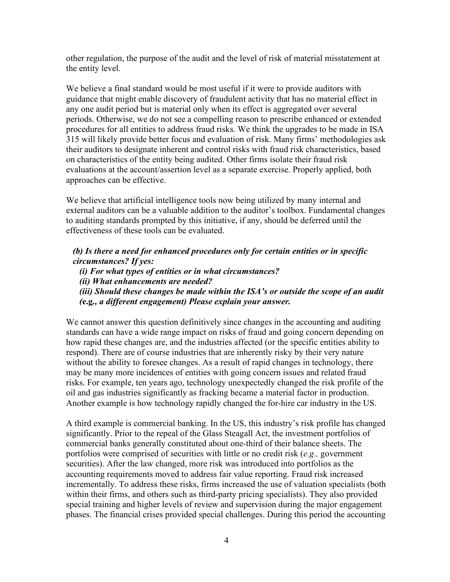other regulation, the purpose of the audit and the level of risk of material misstatement at the entity level.

We believe a final standard would be most useful if it were to provide auditors with guidance that might enable discovery of fraudulent activity that has no material effect in any one audit period but is material only when its effect is aggregated over several periods. Otherwise, we do not see a compelling reason to prescribe enhanced or extended procedures for all entities to address fraud risks. We think the upgrades to be made in ISA 315 will likely provide better focus and evaluation of risk. Many firms' methodologies ask their auditors to designate inherent and control risks with fraud risk characteristics, based on characteristics of the entity being audited. Other firms isolate their fraud risk evaluations at the account/assertion level as a separate exercise. Properly applied, both approaches can be effective.

We believe that artificial intelligence tools now being utilized by many internal and external auditors can be a valuable addition to the auditor's toolbox. Fundamental changes to auditing standards prompted by this initiative, if any, should be deferred until the effectiveness of these tools can be evaluated.

*(b) Is there a need for enhanced procedures only for certain entities or in specific circumstances? If yes: (i) For what types of entities or in what circumstances? (ii) What enhancements are needed?*

*(iii) Should these changes be made within the ISA's or outside the scope of an audit (***e.g***., a different engagement) Please explain your answer.*

We cannot answer this question definitively since changes in the accounting and auditing standards can have a wide range impact on risks of fraud and going concern depending on how rapid these changes are, and the industries affected (or the specific entities ability to respond). There are of course industries that are inherently risky by their very nature without the ability to foresee changes. As a result of rapid changes in technology, there may be many more incidences of entities with going concern issues and related fraud risks. For example, ten years ago, technology unexpectedly changed the risk profile of the oil and gas industries significantly as fracking became a material factor in production. Another example is how technology rapidly changed the for-hire car industry in the US.

A third example is commercial banking. In the US, this industry's risk profile has changed significantly. Prior to the repeal of the Glass Steagall Act, the investment portfolios of commercial banks generally constituted about one-third of their balance sheets. The portfolios were comprised of securities with little or no credit risk (*e.g.,* government securities). After the law changed, more risk was introduced into portfolios as the accounting requirements moved to address fair value reporting. Fraud risk increased incrementally. To address these risks, firms increased the use of valuation specialists (both within their firms, and others such as third-party pricing specialists). They also provided special training and higher levels of review and supervision during the major engagement phases. The financial crises provided special challenges. During this period the accounting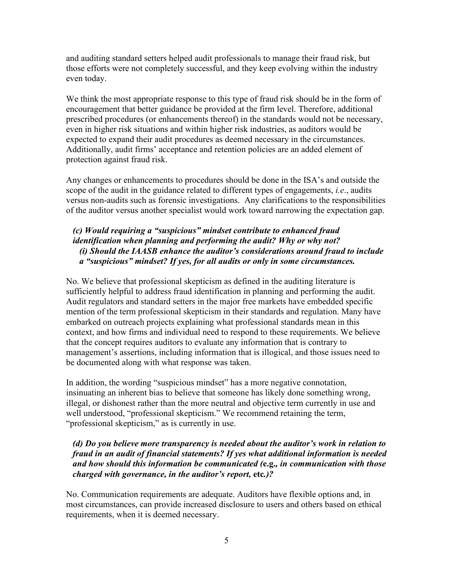and auditing standard setters helped audit professionals to manage their fraud risk, but those efforts were not completely successful, and they keep evolving within the industry even today.

We think the most appropriate response to this type of fraud risk should be in the form of encouragement that better guidance be provided at the firm level. Therefore, additional prescribed procedures (or enhancements thereof) in the standards would not be necessary, even in higher risk situations and within higher risk industries, as auditors would be expected to expand their audit procedures as deemed necessary in the circumstances. Additionally, audit firms' acceptance and retention policies are an added element of protection against fraud risk.

Any changes or enhancements to procedures should be done in the ISA's and outside the scope of the audit in the guidance related to different types of engagements, *i.e*., audits versus non-audits such as forensic investigations. Any clarifications to the responsibilities of the auditor versus another specialist would work toward narrowing the expectation gap.

# *(c) Would requiring a "suspicious" mindset contribute to enhanced fraud identification when planning and performing the audit? Why or why not? (i) Should the IAASB enhance the auditor's considerations around fraud to include a "suspicious" mindset? If yes, for all audits or only in some circumstances.*

No. We believe that professional skepticism as defined in the auditing literature is sufficiently helpful to address fraud identification in planning and performing the audit. Audit regulators and standard setters in the major free markets have embedded specific mention of the term professional skepticism in their standards and regulation. Many have embarked on outreach projects explaining what professional standards mean in this context, and how firms and individual need to respond to these requirements. We believe that the concept requires auditors to evaluate any information that is contrary to management's assertions, including information that is illogical, and those issues need to be documented along with what response was taken.

In addition, the wording "suspicious mindset" has a more negative connotation, insinuating an inherent bias to believe that someone has likely done something wrong, illegal, or dishonest rather than the more neutral and objective term currently in use and well understood, "professional skepticism." We recommend retaining the term, "professional skepticism," as is currently in use.

### *(d) Do you believe more transparency is needed about the auditor's work in relation to fraud in an audit of financial statements? If yes what additional information is needed and how should this information be communicated (***e.g.***, in communication with those charged with governance, in the auditor's report,* **etc***.)?*

No. Communication requirements are adequate. Auditors have flexible options and, in most circumstances, can provide increased disclosure to users and others based on ethical requirements, when it is deemed necessary.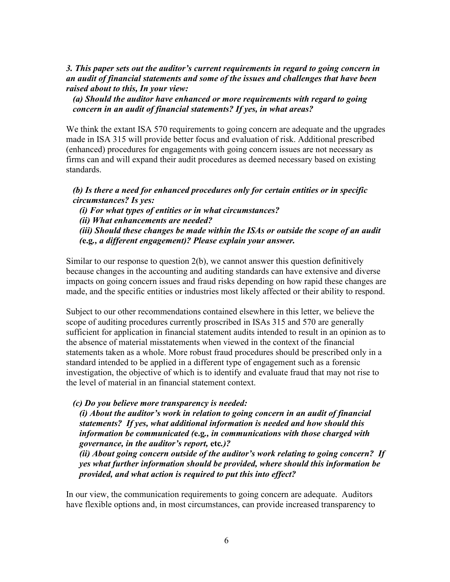### *3. This paper sets out the auditor's current requirements in regard to going concern in an audit of financial statements and some of the issues and challenges that have been raised about to this, In your view:*

### *(a) Should the auditor have enhanced or more requirements with regard to going concern in an audit of financial statements? If yes, in what areas?*

We think the extant ISA 570 requirements to going concern are adequate and the upgrades made in ISA 315 will provide better focus and evaluation of risk. Additional prescribed (enhanced) procedures for engagements with going concern issues are not necessary as firms can and will expand their audit procedures as deemed necessary based on existing standards.

# *(b) Is there a need for enhanced procedures only for certain entities or in specific circumstances? Is yes:*

*(i) For what types of entities or in what circumstances? (ii) What enhancements are needed? (iii) Should these changes be made within the ISAs or outside the scope of an audit (***e.g***., a different engagement)? Please explain your answer.*

Similar to our response to question 2(b), we cannot answer this question definitively because changes in the accounting and auditing standards can have extensive and diverse impacts on going concern issues and fraud risks depending on how rapid these changes are made, and the specific entities or industries most likely affected or their ability to respond.

Subject to our other recommendations contained elsewhere in this letter, we believe the scope of auditing procedures currently proscribed in ISAs 315 and 570 are generally sufficient for application in financial statement audits intended to result in an opinion as to the absence of material misstatements when viewed in the context of the financial statements taken as a whole. More robust fraud procedures should be prescribed only in a standard intended to be applied in a different type of engagement such as a forensic investigation, the objective of which is to identify and evaluate fraud that may not rise to the level of material in an financial statement context.

*(c) Do you believe more transparency is needed:*

*(i) About the auditor's work in relation to going concern in an audit of financial statements? If yes, what additional information is needed and how should this information be communicated (***e.g***., in communications with those charged with governance, in the auditor's report,* **etc***.)?*

*(ii) About going concern outside of the auditor's work relating to going concern? If yes what further information should be provided, where should this information be provided, and what action is required to put this into effect?*

In our view, the communication requirements to going concern are adequate. Auditors have flexible options and, in most circumstances, can provide increased transparency to